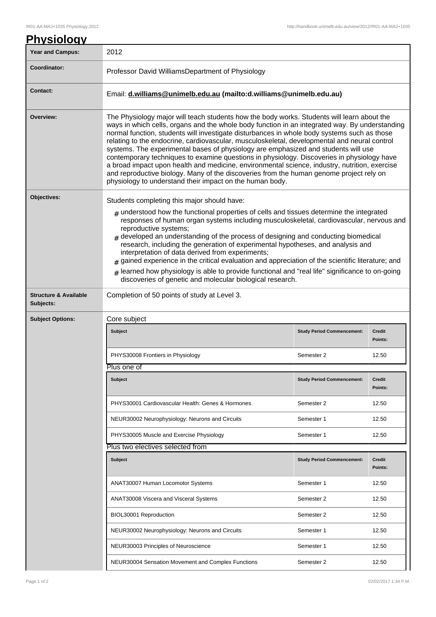| <u>Physiology</u>                             |                                                                                                                                                                                                                                                                                                                                                                                                                                                                                                                                                                                                                                                                                                                                                                                                                                         |                                   |                          |  |  |
|-----------------------------------------------|-----------------------------------------------------------------------------------------------------------------------------------------------------------------------------------------------------------------------------------------------------------------------------------------------------------------------------------------------------------------------------------------------------------------------------------------------------------------------------------------------------------------------------------------------------------------------------------------------------------------------------------------------------------------------------------------------------------------------------------------------------------------------------------------------------------------------------------------|-----------------------------------|--------------------------|--|--|
| <b>Year and Campus:</b>                       | 2012                                                                                                                                                                                                                                                                                                                                                                                                                                                                                                                                                                                                                                                                                                                                                                                                                                    |                                   |                          |  |  |
| Coordinator:                                  | Professor David WilliamsDepartment of Physiology                                                                                                                                                                                                                                                                                                                                                                                                                                                                                                                                                                                                                                                                                                                                                                                        |                                   |                          |  |  |
| <b>Contact:</b>                               | Email: d.williams@unimelb.edu.au (mailto:d.williams@unimelb.edu.au)                                                                                                                                                                                                                                                                                                                                                                                                                                                                                                                                                                                                                                                                                                                                                                     |                                   |                          |  |  |
| Overview:                                     | The Physiology major will teach students how the body works. Students will learn about the<br>ways in which cells, organs and the whole body function in an integrated way. By understanding<br>normal function, students will investigate disturbances in whole body systems such as those<br>relating to the endocrine, cardiovascular, musculoskeletal, developmental and neural control<br>systems. The experimental bases of physiology are emphasized and students will use<br>contemporary techniques to examine questions in physiology. Discoveries in physiology have<br>a broad impact upon health and medicine, environmental science, industry, nutrition, exercise<br>and reproductive biology. Many of the discoveries from the human genome project rely on<br>physiology to understand their impact on the human body. |                                   |                          |  |  |
| Objectives:                                   | Students completing this major should have:<br>$_{\text{\#}}$ understood how the functional properties of cells and tissues determine the integrated<br>responses of human organ systems including musculoskeletal, cardiovascular, nervous and<br>reproductive systems;<br>$_{\#}$ developed an understanding of the process of designing and conducting biomedical<br>research, including the generation of experimental hypotheses, and analysis and<br>interpretation of data derived from experiments;<br>$_{\text{\#}}$ gained experience in the critical evaluation and appreciation of the scientific literature; and<br>$#$ learned how physiology is able to provide functional and "real life" significance to on-going<br>discoveries of genetic and molecular biological research.                                         |                                   |                          |  |  |
| <b>Structure &amp; Available</b><br>Subjects: | Completion of 50 points of study at Level 3.                                                                                                                                                                                                                                                                                                                                                                                                                                                                                                                                                                                                                                                                                                                                                                                            |                                   |                          |  |  |
| <b>Subject Options:</b>                       | Core subject                                                                                                                                                                                                                                                                                                                                                                                                                                                                                                                                                                                                                                                                                                                                                                                                                            |                                   |                          |  |  |
|                                               | <b>Subject</b>                                                                                                                                                                                                                                                                                                                                                                                                                                                                                                                                                                                                                                                                                                                                                                                                                          | <b>Study Period Commencement:</b> | <b>Credit</b><br>Points: |  |  |
|                                               | PHYS30008 Frontiers in Physiology                                                                                                                                                                                                                                                                                                                                                                                                                                                                                                                                                                                                                                                                                                                                                                                                       | Semester 2                        | 12.50                    |  |  |
|                                               | Plus one of                                                                                                                                                                                                                                                                                                                                                                                                                                                                                                                                                                                                                                                                                                                                                                                                                             |                                   |                          |  |  |
|                                               | <b>Subject</b>                                                                                                                                                                                                                                                                                                                                                                                                                                                                                                                                                                                                                                                                                                                                                                                                                          | <b>Study Period Commencement:</b> | <b>Credit</b><br>Points: |  |  |
|                                               | PHYS30001 Cardiovascular Health: Genes & Hormones                                                                                                                                                                                                                                                                                                                                                                                                                                                                                                                                                                                                                                                                                                                                                                                       | Semester 2                        | 12.50                    |  |  |
|                                               | NEUR30002 Neurophysiology: Neurons and Circuits                                                                                                                                                                                                                                                                                                                                                                                                                                                                                                                                                                                                                                                                                                                                                                                         | Semester 1                        | 12.50                    |  |  |
|                                               | PHYS30005 Muscle and Exercise Physiology                                                                                                                                                                                                                                                                                                                                                                                                                                                                                                                                                                                                                                                                                                                                                                                                | Semester 1                        | 12.50                    |  |  |
|                                               | Plus two electives selected from                                                                                                                                                                                                                                                                                                                                                                                                                                                                                                                                                                                                                                                                                                                                                                                                        |                                   |                          |  |  |
|                                               | <b>Subject</b>                                                                                                                                                                                                                                                                                                                                                                                                                                                                                                                                                                                                                                                                                                                                                                                                                          | <b>Study Period Commencement:</b> | <b>Credit</b><br>Points: |  |  |
|                                               | ANAT30007 Human Locomotor Systems                                                                                                                                                                                                                                                                                                                                                                                                                                                                                                                                                                                                                                                                                                                                                                                                       | Semester 1                        | 12.50                    |  |  |
|                                               | ANAT30008 Viscera and Visceral Systems                                                                                                                                                                                                                                                                                                                                                                                                                                                                                                                                                                                                                                                                                                                                                                                                  | Semester 2                        | 12.50                    |  |  |
|                                               | BIOL30001 Reproduction                                                                                                                                                                                                                                                                                                                                                                                                                                                                                                                                                                                                                                                                                                                                                                                                                  | Semester 2                        | 12.50                    |  |  |
|                                               | NEUR30002 Neurophysiology: Neurons and Circuits                                                                                                                                                                                                                                                                                                                                                                                                                                                                                                                                                                                                                                                                                                                                                                                         | Semester 1                        | 12.50                    |  |  |
|                                               | NEUR30003 Principles of Neuroscience                                                                                                                                                                                                                                                                                                                                                                                                                                                                                                                                                                                                                                                                                                                                                                                                    | Semester 1                        | 12.50                    |  |  |
|                                               | NEUR30004 Sensation Movement and Complex Functions                                                                                                                                                                                                                                                                                                                                                                                                                                                                                                                                                                                                                                                                                                                                                                                      | Semester 2                        | 12.50                    |  |  |